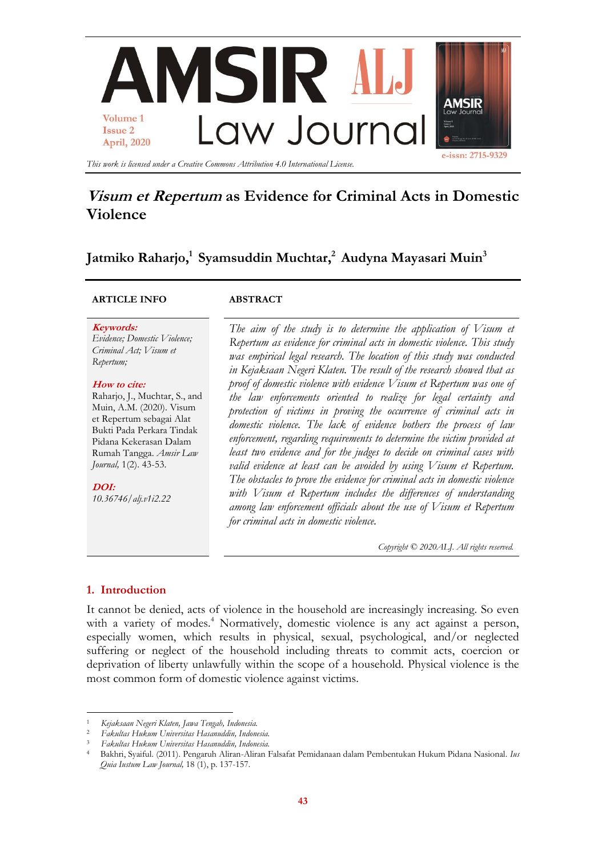

# **Visum et Repertum as Evidence for Criminal Acts in Domestic Violence**

**Jatmiko Raharjo, 1 Syamsuddin Muchtar,<sup>2</sup> Audyna Mayasari Muin<sup>3</sup>**

# **ARTICLE INFO ABSTRACT**

#### **Keywords:**

*Evidence; Domestic Violence; Criminal Act; Visum et Repertum;*

#### **How to cite:**

Raharjo, J., Muchtar, S., and Muin, A.M. (2020). Visum et Repertum sebagai Alat Bukti Pada Perkara Tindak Pidana Kekerasan Dalam Rumah Tangga. *Amsir Law Journal,* 1(2). 43-53.

**DOI:** *10.36746/alj.v1i2.22*

*The aim of the study is to determine the application of Visum et Repertum as evidence for criminal acts in domestic violence. This study was empirical legal research. The location of this study was conducted in Kejaksaan Negeri Klaten. The result of the research showed that as proof of domestic violence with evidence Visum et Repertum was one of the law enforcements oriented to realize for legal certainty and protection of victims in proving the occurrence of criminal acts in domestic violence. The lack of evidence bothers the process of law enforcement, regarding requirements to determine the victim provided at least two evidence and for the judges to decide on criminal cases with valid evidence at least can be avoided by using Visum et Repertum. The obstacles to prove the evidence for criminal acts in domestic violence with Visum et Repertum includes the differences of understanding among law enforcement officials about the use of Visum et Repertum for criminal acts in domestic violence.* 

*Copyright © 2020ALJ. All rights reserved.*

# **1. Introduction**

1

It cannot be denied, acts of violence in the household are increasingly increasing. So even with a variety of modes.<sup>4</sup> Normatively, domestic violence is any act against a person, especially women, which results in physical, sexual, psychological, and/or neglected suffering or neglect of the household including threats to commit acts, coercion or deprivation of liberty unlawfully within the scope of a household. Physical violence is the most common form of domestic violence against victims.

<sup>1</sup> *Kejaksaan Negeri Klaten, Jawa Tengah, Indonesia.*

<sup>2</sup> *Fakultas Hukum Universitas Hasanuddin, Indonesia.*

<sup>3</sup> *Fakultas Hukum Universitas Hasanuddin, Indonesia.*

<sup>4</sup> Bakhri, Syaiful. (2011). Pengaruh Aliran-Aliran Falsafat Pemidanaan dalam Pembentukan Hukum Pidana Nasional. *Ius Quia Iustum Law Journal,* 18 (1), p. 137-157.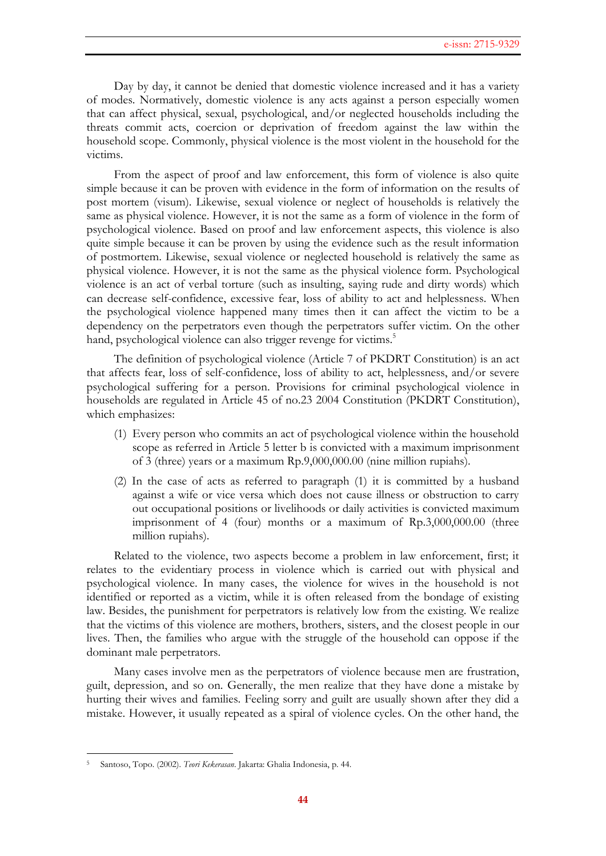Day by day, it cannot be denied that domestic violence increased and it has a variety of modes. Normatively, domestic violence is any acts against a person especially women that can affect physical, sexual, psychological, and/or neglected households including the threats commit acts, coercion or deprivation of freedom against the law within the household scope. Commonly, physical violence is the most violent in the household for the victims.

From the aspect of proof and law enforcement, this form of violence is also quite simple because it can be proven with evidence in the form of information on the results of post mortem (visum). Likewise, sexual violence or neglect of households is relatively the same as physical violence. However, it is not the same as a form of violence in the form of psychological violence. Based on proof and law enforcement aspects, this violence is also quite simple because it can be proven by using the evidence such as the result information of postmortem. Likewise, sexual violence or neglected household is relatively the same as physical violence. However, it is not the same as the physical violence form. Psychological violence is an act of verbal torture (such as insulting, saying rude and dirty words) which can decrease self-confidence, excessive fear, loss of ability to act and helplessness. When the psychological violence happened many times then it can affect the victim to be a dependency on the perpetrators even though the perpetrators suffer victim. On the other hand, psychological violence can also trigger revenge for victims.<sup>5</sup>

The definition of psychological violence (Article 7 of PKDRT Constitution) is an act that affects fear, loss of self-confidence, loss of ability to act, helplessness, and/or severe psychological suffering for a person. Provisions for criminal psychological violence in households are regulated in Article 45 of no.23 2004 Constitution (PKDRT Constitution), which emphasizes:

- (1) Every person who commits an act of psychological violence within the household scope as referred in Article 5 letter b is convicted with a maximum imprisonment of 3 (three) years or a maximum Rp.9,000,000.00 (nine million rupiahs).
- (2) In the case of acts as referred to paragraph (1) it is committed by a husband against a wife or vice versa which does not cause illness or obstruction to carry out occupational positions or livelihoods or daily activities is convicted maximum imprisonment of 4 (four) months or a maximum of Rp.3,000,000.00 (three million rupiahs).

Related to the violence, two aspects become a problem in law enforcement, first; it relates to the evidentiary process in violence which is carried out with physical and psychological violence. In many cases, the violence for wives in the household is not identified or reported as a victim, while it is often released from the bondage of existing law. Besides, the punishment for perpetrators is relatively low from the existing. We realize that the victims of this violence are mothers, brothers, sisters, and the closest people in our lives. Then, the families who argue with the struggle of the household can oppose if the dominant male perpetrators.

Many cases involve men as the perpetrators of violence because men are frustration, guilt, depression, and so on. Generally, the men realize that they have done a mistake by hurting their wives and families. Feeling sorry and guilt are usually shown after they did a mistake. However, it usually repeated as a spiral of violence cycles. On the other hand, the

**.** 

<sup>5</sup> Santoso, Topo. (2002). *Teori Kekerasan*. Jakarta: Ghalia Indonesia, p. 44.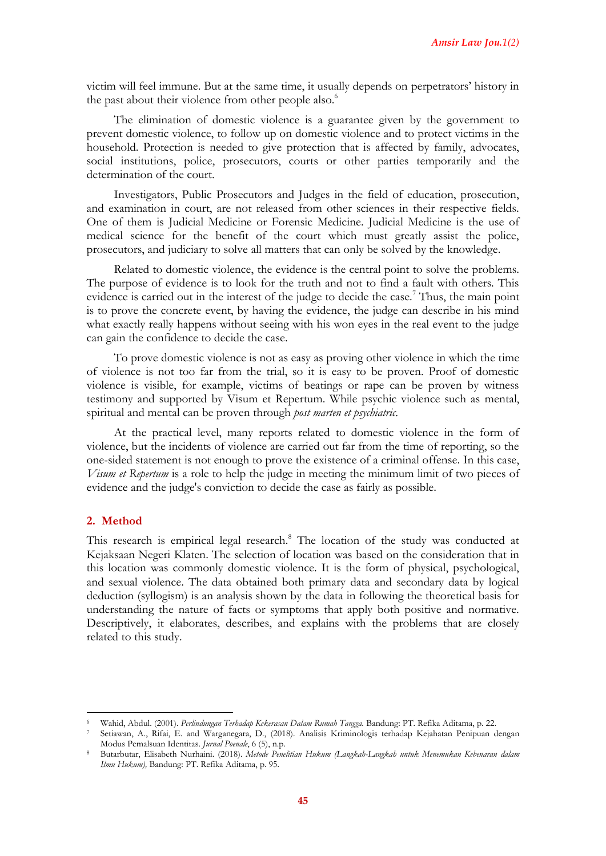victim will feel immune. But at the same time, it usually depends on perpetrators' history in the past about their violence from other people also.<sup>6</sup>

The elimination of domestic violence is a guarantee given by the government to prevent domestic violence, to follow up on domestic violence and to protect victims in the household. Protection is needed to give protection that is affected by family, advocates, social institutions, police, prosecutors, courts or other parties temporarily and the determination of the court.

Investigators, Public Prosecutors and Judges in the field of education, prosecution, and examination in court, are not released from other sciences in their respective fields. One of them is Judicial Medicine or Forensic Medicine. Judicial Medicine is the use of medical science for the benefit of the court which must greatly assist the police, prosecutors, and judiciary to solve all matters that can only be solved by the knowledge.

Related to domestic violence, the evidence is the central point to solve the problems. The purpose of evidence is to look for the truth and not to find a fault with others. This evidence is carried out in the interest of the judge to decide the case.<sup>7</sup> Thus, the main point is to prove the concrete event, by having the evidence, the judge can describe in his mind what exactly really happens without seeing with his won eyes in the real event to the judge can gain the confidence to decide the case.

To prove domestic violence is not as easy as proving other violence in which the time of violence is not too far from the trial, so it is easy to be proven. Proof of domestic violence is visible, for example, victims of beatings or rape can be proven by witness testimony and supported by Visum et Repertum. While psychic violence such as mental, spiritual and mental can be proven through *post marten et psychiatric*.

At the practical level, many reports related to domestic violence in the form of violence, but the incidents of violence are carried out far from the time of reporting, so the one-sided statement is not enough to prove the existence of a criminal offense. In this case, *Visum et Repertum* is a role to help the judge in meeting the minimum limit of two pieces of evidence and the judge's conviction to decide the case as fairly as possible.

# **2. Method**

1

This research is empirical legal research.<sup>8</sup> The location of the study was conducted at Kejaksaan Negeri Klaten. The selection of location was based on the consideration that in this location was commonly domestic violence. It is the form of physical, psychological, and sexual violence. The data obtained both primary data and secondary data by logical deduction (syllogism) is an analysis shown by the data in following the theoretical basis for understanding the nature of facts or symptoms that apply both positive and normative. Descriptively, it elaborates, describes, and explains with the problems that are closely related to this study.

<sup>6</sup> Wahid, Abdul. (2001). *Perlindungan Terhadap Kekerasan Dalam Rumah Tangga.* Bandung: PT. Refika Aditama, p. 22.

<sup>7</sup> Setiawan, A., Rifai, E. and Warganegara, D., (2018). Analisis Kriminologis terhadap Kejahatan Penipuan dengan Modus Pemalsuan Identitas. *Jurnal Poenale*, 6 (5), n.p.

<sup>8</sup> Butarbutar, Elisabeth Nurhaini. (2018). *Metode Penelitian Hukum (Langkah-Langkah untuk Menemukan Kebenaran dalam Ilmu Hukum),* Bandung: PT. Refika Aditama, p. 95.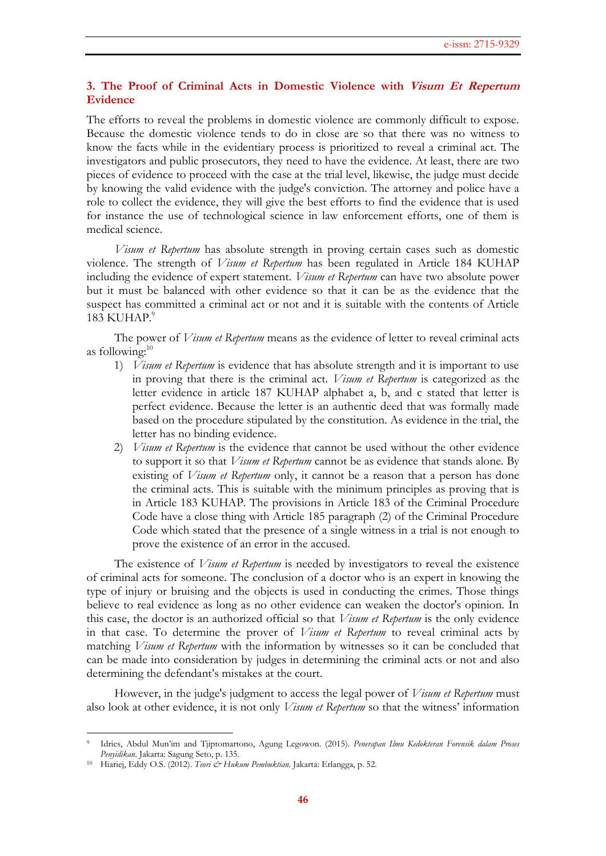# **3. The Proof of Criminal Acts in Domestic Violence with Visum Et Repertum Evidence**

The efforts to reveal the problems in domestic violence are commonly difficult to expose. Because the domestic violence tends to do in close are so that there was no witness to know the facts while in the evidentiary process is prioritized to reveal a criminal act. The investigators and public prosecutors, they need to have the evidence. At least, there are two pieces of evidence to proceed with the case at the trial level, likewise, the judge must decide by knowing the valid evidence with the judge's conviction. The attorney and police have a role to collect the evidence, they will give the best efforts to find the evidence that is used for instance the use of technological science in law enforcement efforts, one of them is medical science.

*Visum et Repertum* has absolute strength in proving certain cases such as domestic violence. The strength of *Visum et Repertum* has been regulated in Article 184 KUHAP including the evidence of expert statement. *Visum et Repertum* can have two absolute power but it must be balanced with other evidence so that it can be as the evidence that the suspect has committed a criminal act or not and it is suitable with the contents of Article 183 KUHAP.9

The power of *Visum et Repertum* means as the evidence of letter to reveal criminal acts as following:<sup>10</sup>

- 1) *Visum et Repertum* is evidence that has absolute strength and it is important to use in proving that there is the criminal act. *Visum et Repertum* is categorized as the letter evidence in article 187 KUHAP alphabet a, b, and c stated that letter is perfect evidence. Because the letter is an authentic deed that was formally made based on the procedure stipulated by the constitution. As evidence in the trial, the letter has no binding evidence.
- 2) *Visum et Repertum* is the evidence that cannot be used without the other evidence to support it so that *Visum et Repertum* cannot be as evidence that stands alone. By existing of *Visum et Repertum* only, it cannot be a reason that a person has done the criminal acts. This is suitable with the minimum principles as proving that is in Article 183 KUHAP. The provisions in Article 183 of the Criminal Procedure Code have a close thing with Article 185 paragraph (2) of the Criminal Procedure Code which stated that the presence of a single witness in a trial is not enough to prove the existence of an error in the accused.

The existence of *Visum et Repertum* is needed by investigators to reveal the existence of criminal acts for someone. The conclusion of a doctor who is an expert in knowing the type of injury or bruising and the objects is used in conducting the crimes. Those things believe to real evidence as long as no other evidence can weaken the doctor's opinion. In this case, the doctor is an authorized official so that *Visum et Repertum* is the only evidence in that case. To determine the prover of *Visum et Repertum* to reveal criminal acts by matching *Visum et Repertum* with the information by witnesses so it can be concluded that can be made into consideration by judges in determining the criminal acts or not and also determining the defendant's mistakes at the court.

However, in the judge's judgment to access the legal power of *Visum et Repertum* must also look at other evidence, it is not only *Visum et Repertum* so that the witness' information

 $\overline{a}$ 

<sup>9</sup> Idries, Abdul Mun'im and Tjiptomartono, Agung Legowon. (2015). *Penerapan Ilmu Kedokteran Forensik dalam Proses Penyidikan*. Jakarta: Sagung Seto, p. 135.

<sup>10</sup> Hiariej, Eddy O.S. (2012). *Teori & Hukum Pembuktian*. Jakarta: Erlangga, p. 52.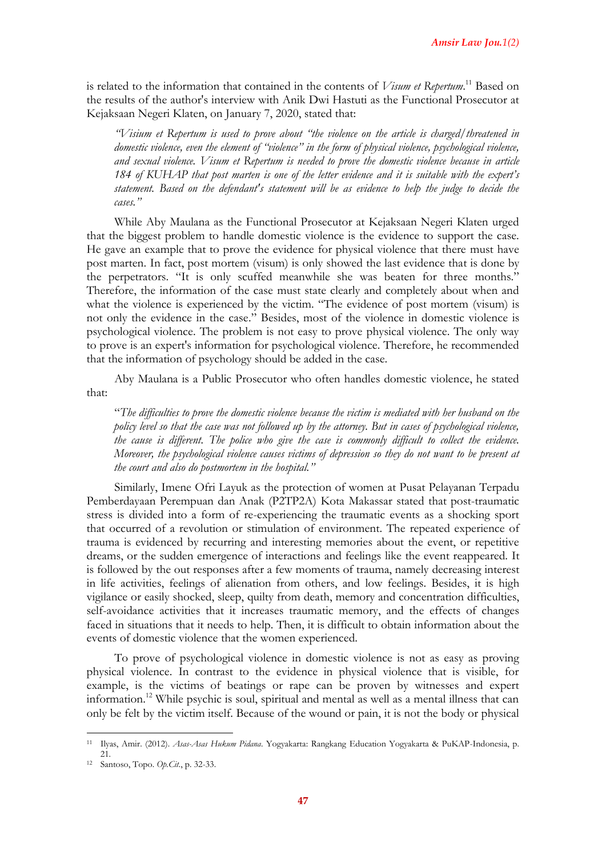is related to the information that contained in the contents of *Visum et Repertum*. <sup>11</sup> Based on the results of the author's interview with Anik Dwi Hastuti as the Functional Prosecutor at Kejaksaan Negeri Klaten, on January 7, 2020, stated that:

*"Visium et Repertum is used to prove about "the violence on the article is charged/threatened in domestic violence, even the element of "violence" in the form of physical violence, psychological violence, and sexual violence. Visum et Repertum is needed to prove the domestic violence because in article 184 of KUHAP that post marten is one of the letter evidence and it is suitable with the expert's statement. Based on the defendant's statement will be as evidence to help the judge to decide the cases."* 

While Aby Maulana as the Functional Prosecutor at Kejaksaan Negeri Klaten urged that the biggest problem to handle domestic violence is the evidence to support the case. He gave an example that to prove the evidence for physical violence that there must have post marten. In fact, post mortem (visum) is only showed the last evidence that is done by the perpetrators. "It is only scuffed meanwhile she was beaten for three months." Therefore, the information of the case must state clearly and completely about when and what the violence is experienced by the victim. "The evidence of post mortem (visum) is not only the evidence in the case." Besides, most of the violence in domestic violence is psychological violence. The problem is not easy to prove physical violence. The only way to prove is an expert's information for psychological violence. Therefore, he recommended that the information of psychology should be added in the case.

Aby Maulana is a Public Prosecutor who often handles domestic violence, he stated that:

"*The difficulties to prove the domestic violence because the victim is mediated with her husband on the policy level so that the case was not followed up by the attorney. But in cases of psychological violence, the cause is different. The police who give the case is commonly difficult to collect the evidence. Moreover, the psychological violence causes victims of depression so they do not want to be present at the court and also do postmortem in the hospital."*

Similarly, Imene Ofri Layuk as the protection of women at Pusat Pelayanan Terpadu Pemberdayaan Perempuan dan Anak (P2TP2A) Kota Makassar stated that post-traumatic stress is divided into a form of re-experiencing the traumatic events as a shocking sport that occurred of a revolution or stimulation of environment. The repeated experience of trauma is evidenced by recurring and interesting memories about the event, or repetitive dreams, or the sudden emergence of interactions and feelings like the event reappeared. It is followed by the out responses after a few moments of trauma, namely decreasing interest in life activities, feelings of alienation from others, and low feelings. Besides, it is high vigilance or easily shocked, sleep, quilty from death, memory and concentration difficulties, self-avoidance activities that it increases traumatic memory, and the effects of changes faced in situations that it needs to help. Then, it is difficult to obtain information about the events of domestic violence that the women experienced.

To prove of psychological violence in domestic violence is not as easy as proving physical violence. In contrast to the evidence in physical violence that is visible, for example, is the victims of beatings or rape can be proven by witnesses and expert information.<sup>12</sup> While psychic is soul, spiritual and mental as well as a mental illness that can only be felt by the victim itself. Because of the wound or pain, it is not the body or physical

 $\overline{a}$ 

<sup>11</sup> Ilyas, Amir. (2012). *Asas-Asas Hukum Pidana*. Yogyakarta: Rangkang Education Yogyakarta & PuKAP-Indonesia, p. 21.

<sup>12</sup> Santoso, Topo. *Op.Cit.*, p. 32-33.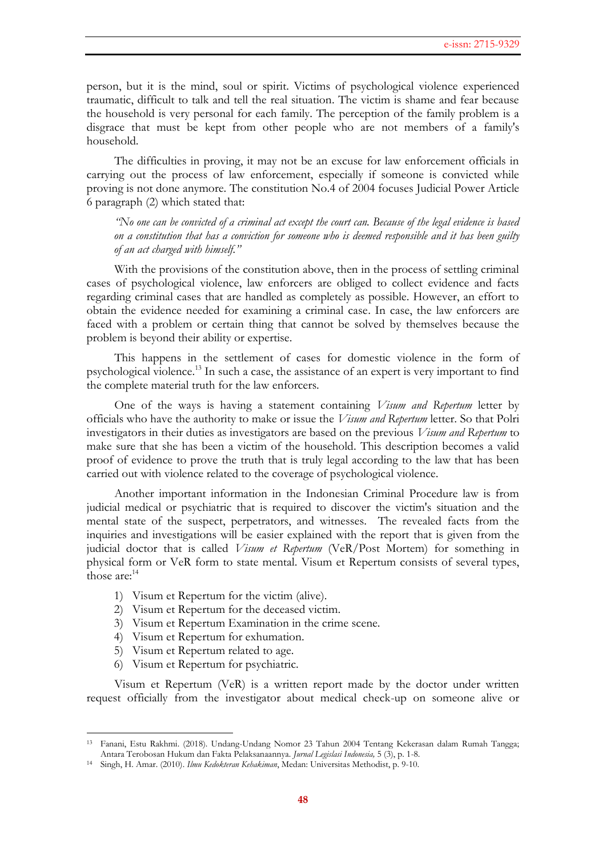person, but it is the mind, soul or spirit. Victims of psychological violence experienced traumatic, difficult to talk and tell the real situation. The victim is shame and fear because the household is very personal for each family. The perception of the family problem is a disgrace that must be kept from other people who are not members of a family's household.

The difficulties in proving, it may not be an excuse for law enforcement officials in carrying out the process of law enforcement, especially if someone is convicted while proving is not done anymore. The constitution No.4 of 2004 focuses Judicial Power Article 6 paragraph (2) which stated that:

*"No one can be convicted of a criminal act except the court can. Because of the legal evidence is based on a constitution that has a conviction for someone who is deemed responsible and it has been guilty of an act charged with himself."*

With the provisions of the constitution above, then in the process of settling criminal cases of psychological violence, law enforcers are obliged to collect evidence and facts regarding criminal cases that are handled as completely as possible. However, an effort to obtain the evidence needed for examining a criminal case. In case, the law enforcers are faced with a problem or certain thing that cannot be solved by themselves because the problem is beyond their ability or expertise.

This happens in the settlement of cases for domestic violence in the form of psychological violence.<sup>13</sup> In such a case, the assistance of an expert is very important to find the complete material truth for the law enforcers.

One of the ways is having a statement containing *Visum and Repertum* letter by officials who have the authority to make or issue the *Visum and Repertum* letter. So that Polri investigators in their duties as investigators are based on the previous *Visum and Repertum* to make sure that she has been a victim of the household. This description becomes a valid proof of evidence to prove the truth that is truly legal according to the law that has been carried out with violence related to the coverage of psychological violence.

Another important information in the Indonesian Criminal Procedure law is from judicial medical or psychiatric that is required to discover the victim's situation and the mental state of the suspect, perpetrators, and witnesses. The revealed facts from the inquiries and investigations will be easier explained with the report that is given from the judicial doctor that is called *Visum et Repertum* (VeR/Post Mortem) for something in physical form or VeR form to state mental. Visum et Repertum consists of several types, those  $\arctan 14$ 

- 1) Visum et Repertum for the victim (alive).
- 2) Visum et Repertum for the deceased victim.
- 3) Visum et Repertum Examination in the crime scene.
- 4) Visum et Repertum for exhumation.
- 5) Visum et Repertum related to age.
- 6) Visum et Repertum for psychiatric.

 $\overline{a}$ 

Visum et Repertum (VeR) is a written report made by the doctor under written request officially from the investigator about medical check-up on someone alive or

<sup>13</sup> Fanani, Estu Rakhmi. (2018). Undang-Undang Nomor 23 Tahun 2004 Tentang Kekerasan dalam Rumah Tangga; Antara Terobosan Hukum dan Fakta Pelaksanaannya. *Jurnal Legislasi Indonesia,* 5 (3), p. 1-8.

<sup>14</sup> Singh, H. Amar. (2010). *Ilmu Kedokteran Kehakiman*, Medan: Universitas Methodist, p. 9-10.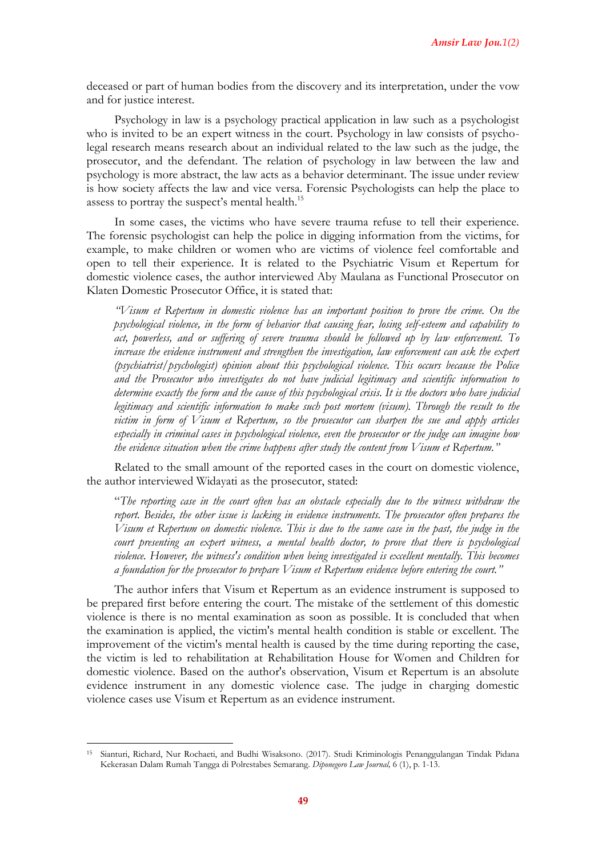deceased or part of human bodies from the discovery and its interpretation, under the vow and for justice interest.

Psychology in law is a psychology practical application in law such as a psychologist who is invited to be an expert witness in the court. Psychology in law consists of psycholegal research means research about an individual related to the law such as the judge, the prosecutor, and the defendant. The relation of psychology in law between the law and psychology is more abstract, the law acts as a behavior determinant. The issue under review is how society affects the law and vice versa. Forensic Psychologists can help the place to assess to portray the suspect's mental health.<sup>15</sup>

In some cases, the victims who have severe trauma refuse to tell their experience. The forensic psychologist can help the police in digging information from the victims, for example, to make children or women who are victims of violence feel comfortable and open to tell their experience. It is related to the Psychiatric Visum et Repertum for domestic violence cases, the author interviewed Aby Maulana as Functional Prosecutor on Klaten Domestic Prosecutor Office, it is stated that:

*"Visum et Repertum in domestic violence has an important position to prove the crime. On the psychological violence, in the form of behavior that causing fear, losing self-esteem and capability to act, powerless, and or suffering of severe trauma should be followed up by law enforcement. To increase the evidence instrument and strengthen the investigation, law enforcement can ask the expert (psychiatrist/psychologist) opinion about this psychological violence. This occurs because the Police and the Prosecutor who investigates do not have judicial legitimacy and scientific information to determine exactly the form and the cause of this psychological crisis. It is the doctors who have judicial legitimacy and scientific information to make such post mortem (visum). Through the result to the victim in form of Visum et Repertum, so the prosecutor can sharpen the sue and apply articles especially in criminal cases in psychological violence, even the prosecutor or the judge can imagine how the evidence situation when the crime happens after study the content from Visum et Repertum."*

Related to the small amount of the reported cases in the court on domestic violence, the author interviewed Widayati as the prosecutor, stated:

"*The reporting case in the court often has an obstacle especially due to the witness withdraw the report. Besides, the other issue is lacking in evidence instruments. The prosecutor often prepares the Visum et Repertum on domestic violence. This is due to the same case in the past, the judge in the court presenting an expert witness, a mental health doctor, to prove that there is psychological violence. However, the witness's condition when being investigated is excellent mentally. This becomes a foundation for the prosecutor to prepare Visum et Repertum evidence before entering the court."*

The author infers that Visum et Repertum as an evidence instrument is supposed to be prepared first before entering the court. The mistake of the settlement of this domestic violence is there is no mental examination as soon as possible. It is concluded that when the examination is applied, the victim's mental health condition is stable or excellent. The improvement of the victim's mental health is caused by the time during reporting the case, the victim is led to rehabilitation at Rehabilitation House for Women and Children for domestic violence. Based on the author's observation, Visum et Repertum is an absolute evidence instrument in any domestic violence case. The judge in charging domestic violence cases use Visum et Repertum as an evidence instrument.

 $\overline{a}$ 

<sup>15</sup> Sianturi, Richard, Nur Rochaeti, and Budhi Wisaksono. (2017). Studi Kriminologis Penanggulangan Tindak Pidana Kekerasan Dalam Rumah Tangga di Polrestabes Semarang. *Diponegoro Law Journal,* 6 (1), p. 1-13.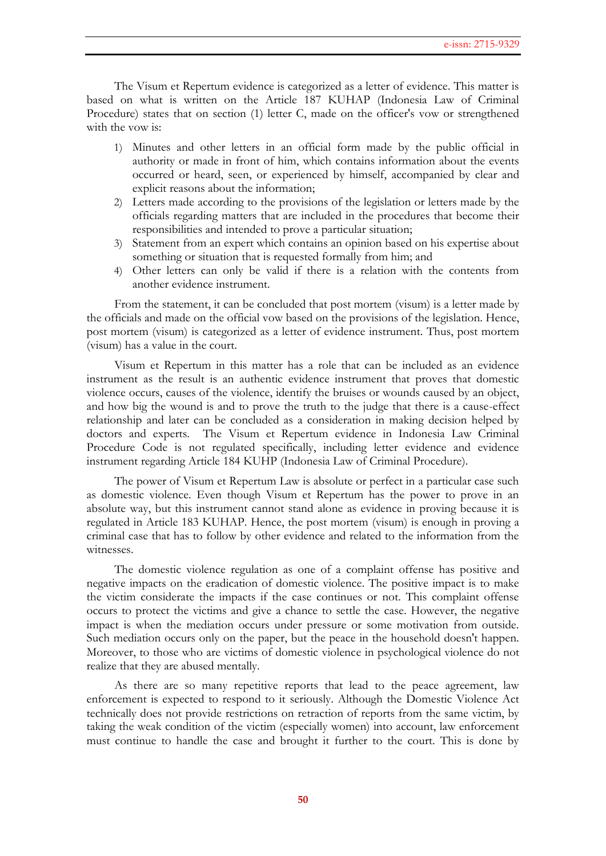The Visum et Repertum evidence is categorized as a letter of evidence. This matter is based on what is written on the Article 187 KUHAP (Indonesia Law of Criminal Procedure) states that on section (1) letter C, made on the officer's vow or strengthened with the vow is:

- 1) Minutes and other letters in an official form made by the public official in authority or made in front of him, which contains information about the events occurred or heard, seen, or experienced by himself, accompanied by clear and explicit reasons about the information;
- 2) Letters made according to the provisions of the legislation or letters made by the officials regarding matters that are included in the procedures that become their responsibilities and intended to prove a particular situation;
- 3) Statement from an expert which contains an opinion based on his expertise about something or situation that is requested formally from him; and
- 4) Other letters can only be valid if there is a relation with the contents from another evidence instrument.

From the statement, it can be concluded that post mortem (visum) is a letter made by the officials and made on the official vow based on the provisions of the legislation. Hence, post mortem (visum) is categorized as a letter of evidence instrument. Thus, post mortem (visum) has a value in the court.

Visum et Repertum in this matter has a role that can be included as an evidence instrument as the result is an authentic evidence instrument that proves that domestic violence occurs, causes of the violence, identify the bruises or wounds caused by an object, and how big the wound is and to prove the truth to the judge that there is a cause-effect relationship and later can be concluded as a consideration in making decision helped by doctors and experts. The Visum et Repertum evidence in Indonesia Law Criminal Procedure Code is not regulated specifically, including letter evidence and evidence instrument regarding Article 184 KUHP (Indonesia Law of Criminal Procedure).

The power of Visum et Repertum Law is absolute or perfect in a particular case such as domestic violence. Even though Visum et Repertum has the power to prove in an absolute way, but this instrument cannot stand alone as evidence in proving because it is regulated in Article 183 KUHAP. Hence, the post mortem (visum) is enough in proving a criminal case that has to follow by other evidence and related to the information from the witnesses.

The domestic violence regulation as one of a complaint offense has positive and negative impacts on the eradication of domestic violence. The positive impact is to make the victim considerate the impacts if the case continues or not. This complaint offense occurs to protect the victims and give a chance to settle the case. However, the negative impact is when the mediation occurs under pressure or some motivation from outside. Such mediation occurs only on the paper, but the peace in the household doesn't happen. Moreover, to those who are victims of domestic violence in psychological violence do not realize that they are abused mentally.

As there are so many repetitive reports that lead to the peace agreement, law enforcement is expected to respond to it seriously. Although the Domestic Violence Act technically does not provide restrictions on retraction of reports from the same victim, by taking the weak condition of the victim (especially women) into account, law enforcement must continue to handle the case and brought it further to the court. This is done by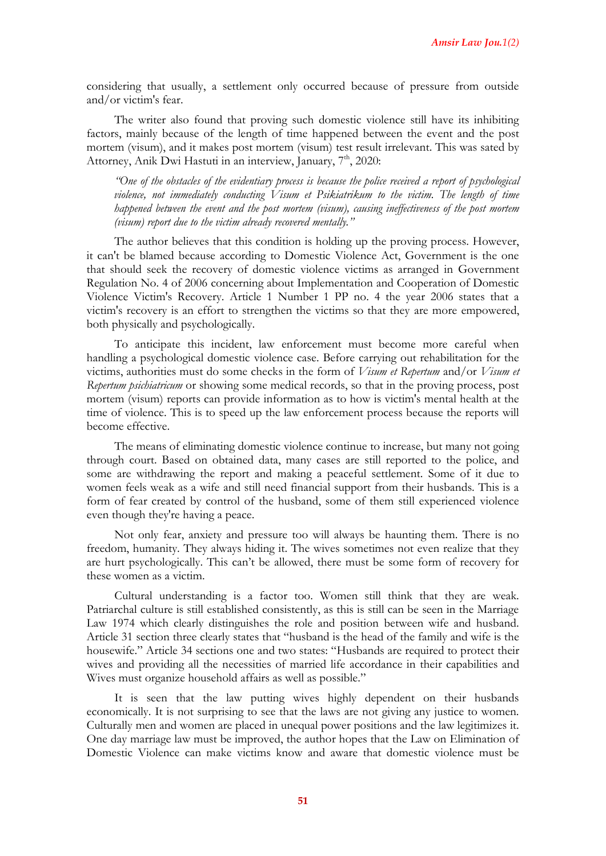considering that usually, a settlement only occurred because of pressure from outside and/or victim's fear.

The writer also found that proving such domestic violence still have its inhibiting factors, mainly because of the length of time happened between the event and the post mortem (visum), and it makes post mortem (visum) test result irrelevant. This was sated by Attorney, Anik Dwi Hastuti in an interview, January, 7<sup>th</sup>, 2020:

*"One of the obstacles of the evidentiary process is because the police received a report of psychological violence, not immediately conducting Visum et Psikiatrikum to the victim. The length of time happened between the event and the post mortem (visum), causing ineffectiveness of the post mortem (visum) report due to the victim already recovered mentally."*

The author believes that this condition is holding up the proving process. However, it can't be blamed because according to Domestic Violence Act, Government is the one that should seek the recovery of domestic violence victims as arranged in Government Regulation No. 4 of 2006 concerning about Implementation and Cooperation of Domestic Violence Victim's Recovery. Article 1 Number 1 PP no. 4 the year 2006 states that a victim's recovery is an effort to strengthen the victims so that they are more empowered, both physically and psychologically.

To anticipate this incident, law enforcement must become more careful when handling a psychological domestic violence case. Before carrying out rehabilitation for the victims, authorities must do some checks in the form of *Visum et Repertum* and/or *Visum et Repertum psichiatricum* or showing some medical records, so that in the proving process, post mortem (visum) reports can provide information as to how is victim's mental health at the time of violence. This is to speed up the law enforcement process because the reports will become effective.

The means of eliminating domestic violence continue to increase, but many not going through court. Based on obtained data, many cases are still reported to the police, and some are withdrawing the report and making a peaceful settlement. Some of it due to women feels weak as a wife and still need financial support from their husbands. This is a form of fear created by control of the husband, some of them still experienced violence even though they're having a peace.

Not only fear, anxiety and pressure too will always be haunting them. There is no freedom, humanity. They always hiding it. The wives sometimes not even realize that they are hurt psychologically. This can't be allowed, there must be some form of recovery for these women as a victim.

Cultural understanding is a factor too. Women still think that they are weak. Patriarchal culture is still established consistently, as this is still can be seen in the Marriage Law 1974 which clearly distinguishes the role and position between wife and husband. Article 31 section three clearly states that "husband is the head of the family and wife is the housewife." Article 34 sections one and two states: "Husbands are required to protect their wives and providing all the necessities of married life accordance in their capabilities and Wives must organize household affairs as well as possible."

It is seen that the law putting wives highly dependent on their husbands economically. It is not surprising to see that the laws are not giving any justice to women. Culturally men and women are placed in unequal power positions and the law legitimizes it. One day marriage law must be improved, the author hopes that the Law on Elimination of Domestic Violence can make victims know and aware that domestic violence must be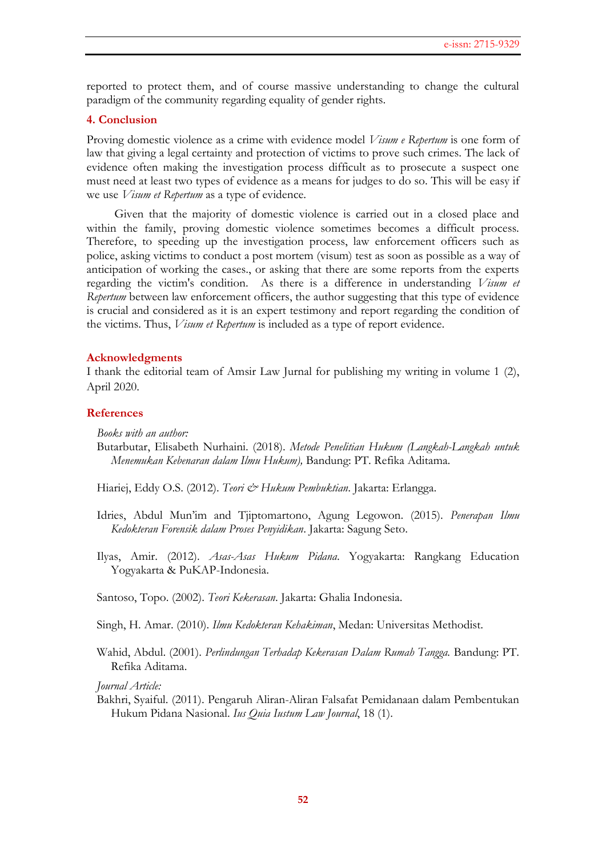reported to protect them, and of course massive understanding to change the cultural paradigm of the community regarding equality of gender rights.

## **4. Conclusion**

Proving domestic violence as a crime with evidence model *Visum e Repertum* is one form of law that giving a legal certainty and protection of victims to prove such crimes. The lack of evidence often making the investigation process difficult as to prosecute a suspect one must need at least two types of evidence as a means for judges to do so. This will be easy if we use *Visum et Repertum* as a type of evidence.

Given that the majority of domestic violence is carried out in a closed place and within the family, proving domestic violence sometimes becomes a difficult process. Therefore, to speeding up the investigation process, law enforcement officers such as police, asking victims to conduct a post mortem (visum) test as soon as possible as a way of anticipation of working the cases., or asking that there are some reports from the experts regarding the victim's condition. As there is a difference in understanding *Visum et Repertum* between law enforcement officers, the author suggesting that this type of evidence is crucial and considered as it is an expert testimony and report regarding the condition of the victims. Thus, *Visum et Repertum* is included as a type of report evidence.

#### **Acknowledgments**

I thank the editorial team of Amsir Law Jurnal for publishing my writing in volume 1 (2), April 2020.

### **References**

*Books with an author:*

Butarbutar, Elisabeth Nurhaini. (2018). *Metode Penelitian Hukum (Langkah-Langkah untuk Menemukan Kebenaran dalam Ilmu Hukum),* Bandung: PT. Refika Aditama.

Hiariej, Eddy O.S. (2012). *Teori & Hukum Pembuktian*. Jakarta: Erlangga.

- Idries, Abdul Mun'im and Tjiptomartono, Agung Legowon. (2015). *Penerapan Ilmu Kedokteran Forensik dalam Proses Penyidikan*. Jakarta: Sagung Seto.
- Ilyas, Amir. (2012). *Asas-Asas Hukum Pidana*. Yogyakarta: Rangkang Education Yogyakarta & PuKAP-Indonesia.

Santoso, Topo. (2002). *Teori Kekerasan*. Jakarta: Ghalia Indonesia.

Singh, H. Amar. (2010). *Ilmu Kedokteran Kehakiman*, Medan: Universitas Methodist.

Wahid, Abdul. (2001). *Perlindungan Terhadap Kekerasan Dalam Rumah Tangga.* Bandung: PT. Refika Aditama.

*Journal Article:*

Bakhri, Syaiful. (2011). Pengaruh Aliran-Aliran Falsafat Pemidanaan dalam Pembentukan Hukum Pidana Nasional. *Ius Quia Iustum Law Journal*, 18 (1).